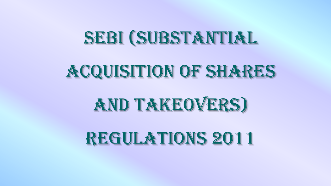## SEBI (SUBSTANTIAL

## ACQUISITION OF SHARES

# **AND TAKEOVERS)**

## REGULATIONS 2011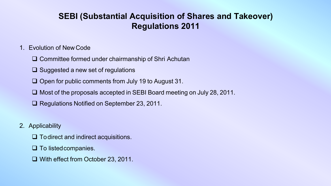### **SEBI (Substantial Acquisition of Shares and Takeover) Regulations 2011**

#### 1. Evolution of New Code

- $\Box$  Committee formed under chairmanship of Shri Achutan
- $\Box$  Suggested a new set of regulations
- $\Box$  Open for public comments from July 19 to August 31.
- $\Box$  Most of the proposals accepted in SEBI Board meeting on July 28, 2011.
- **□ Regulations Notified on September 23, 2011.**
- 2. Applicability
	- $\Box$  Todirect and indirect acquisitions.
	- $\Box$  To listed companies.
	- $\Box$  With effect from October 23, 2011.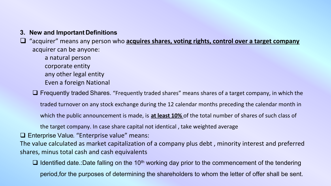#### **3. New and Important Definitions**

- $\Box$  "acquirer" means any person who **acquires shares, voting rights, control over a target company** acquirer can be anyone:
	- a natural person
	- corporate entity
	- any other legal entity
	- Even a foreign National
	- $\Box$  Frequently traded Shares. "Frequently traded shares" means shares of a target company, in which the
		- traded turnover on any stock exchange during the 12 calendar months preceding the calendar month in
		- which the public announcement is made, is **at least 10%** of the total number of shares of such class of
		- the target company. In case share capital not identical , take weighted average
- **□ Enterprise Value. "Enterprise value" means:**
- The value calculated as market capitalization of a company plus debt , minority interest and preferred shares, minus total cash and cash equivalents
	- $\Box$  Identified date.:Date falling on the 10<sup>th</sup> working day prior to the commencement of the tendering period,for the purposes of determining the shareholders to whom the letter of offer shall be sent.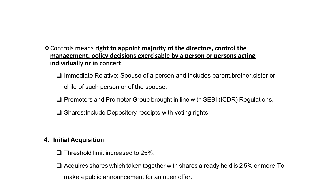#### **V** Controls means right to appoint majority of the directors, control the **management, policy decisions exercisable by a person or persons acting individually or in concert**

 $\Box$  Immediate Relative: Spouse of a person and includes parent, brother, sister or child of such person or of the spouse.

□ Promoters and Promoter Group brought in line with SEBI (ICDR) Regulations.

 $\square$  Shares:Include Depository receipts with voting rights

#### **4. Initial Acquisition**

 $\Box$  Threshold limit increased to 25%.

 $\Box$  Acquires shares which taken together with shares already held is 2.5% or more-To make a public announcement for an open offer.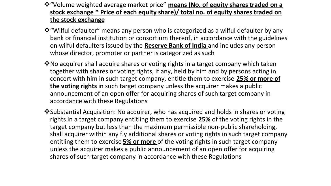#### $*$  "Volume weighted average market price" means (No. of equity shares traded on a **stock exchange \* Price of each equity share)/ total no. of equity shares traded on the stock exchange**

- **\*** "Wilful defaulter" means any person who is categorized as a wilful defaulter by any bank or financial institution or consortium thereof, in accordance with the guidelines on wilful defaulters issued by the **Reserve Bank of India** and includes any person whose director, promoter or partner is categorized as such
- **V**No acquirer shall acquire shares or voting rights in a target company which taken together with shares or voting rights, if any, held by him and by persons acting in concert with him in such target company, entitle them to exercise **25% or more of the voting rights** in such target company unless the acquirer makes a public announcement of an open offer for acquiring shares of such target company in accordance with these Regulations
- **\*** Substantial Acquisition: No acquirer, who has acquired and holds in shares or voting rights in a target company entitling them to exercise **25%** of the voting rights in the target company but less than the maximum permissible non-public shareholding, shall acquirer within any f.y additional shares or voting rights in such target company entitling them to exercise **5% or more** of the voting rights in such target company unless the acquirer makes a public announcement of an open offer for acquiring shares of such target company in accordance with these Regulations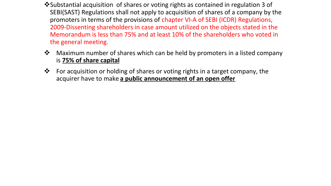- **V** Substantial acquisition of shares or voting rights as contained in regulation 3 of SEBI(SAST) Regulations shall not apply to acquisition of shares of a company by the promoters in terms of the provisions of chapter VI-A of SEBI (ICDR) Regulations, 2009-Dissenting shareholders in case amount utilized on the objects stated in the Memorandum is less than 75% and at least 10% of the shareholders who voted in the general meeting.
- **\*** Maximum number of shares which can be held by promoters in a listed company is **75% of share capital**
- For acquisition or holding of shares or voting rights in a target company, the acquirer have to make **a public announcement of an open offer**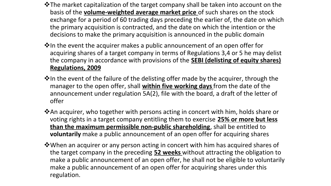- \*The market capitalization of the target company shall be taken into account on the basis of the **volume-weighted average market price** of such shares on the stock exchange for a period of 60 trading days preceding the earlier of, the date on which the primary acquisition is contracted, and the date on which the intention or the decisions to make the primary acquisition is announced in the public domain
- **Volum** the event the acquirer makes a public announcement of an open offer for acquiring shares of a target company in terms of Regulations 3,4 or 5 he may delist the company in accordance with provisions of the **SEBI (delisting of equity shares) Regulations, 2009**
- \*In the event of the failure of the delisting offer made by the acquirer, through the manager to the open offer, shall **within five working days** from the date of the announcement under regulation 5A(2), file with the board, a draft of the letter of offer
- **\*An acquirer, who together with persons acting in concert with him, holds share or** voting rights in a target company entitling them to exercise **25% or more but less than the maximum permissible non-public shareholding**, shall be entitled to **voluntarily** make a public announcement of an open offer for acquiring shares
- **Verourman** an acquirer or any person acting in concert with him has acquired shares of the target company in the preceding **52 weeks** without attracting the obligation to make a public announcement of an open offer, he shall not be eligible to voluntarily make a public announcement of an open offer for acquiring shares under this regulation.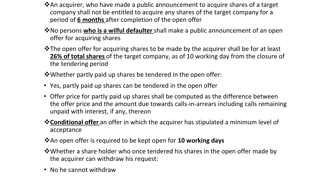- **V**An acquirer, who have made a public announcement to acquire shares of a target company shall not be entitled to acquire any shares of the target company for a period of **6 months** after completion of the open offer
- **V**No persons **who is a wilful defaulter** shall make a public announcement of an open offer for acquiring shares
- **V**The open offer for acquiring shares to be made by the acquirer shall be for at least **26% of total shares** of the target company, as of 10 working day from the closure of the tendering period

**V**Whether partly paid up shares be tendered in the open offer:

- Yes, partly paid up shares can be tendered in the open offer
- Offer price for partly paid up shares shall be computed as the difference between the offer price and the amount due towards calls-in-arrears including calls remaining unpaid with interest, if any, thereon
- **Vou Conditional offer** an offer in which the acquirer has stipulated a minimum level of acceptance
- **\*** An open offer is required to be kept open for **10 working days**
- **V**Whether a share holder who once tendered his shares in the open offer made by the acquirer can withdraw his request:
- No he cannot withdraw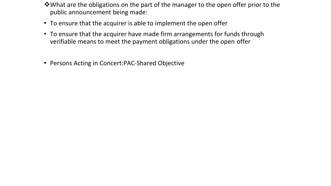- vWhat are the obligations on the part of the manager to the open offer prior to the public announcement being made:
- To ensure that the acquirer is able to implement the open offer
- To ensure that the acquirer have made firm arrangements for funds through verifiable means to meet the payment obligations under the open offer
- Persons Acting in Concert:PAC-Shared Objective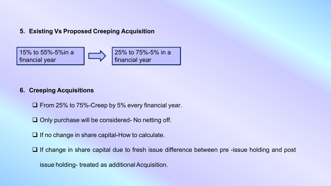#### **5. Existing Vs Proposed Creeping Acquisition**



#### **6. Creeping Acquisitions**

 $\Box$  From 25% to 75%-Creep by 5% every financial year.

 $\Box$  Only purchase will be considered- No netting off.

 $\Box$  If no change in share capital-How to calculate.

 $\Box$  If change in share capital due to fresh issue difference between pre -issue holding and post

issue holding- treated as additional Acquisition.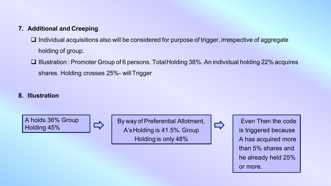#### **7. Additional and Creeping**

 $\Box$  Individual acquisitions also will be considered for purpose of trigger, irrespective of aggregate holding of group.

**□ Illustration : Promoter Group of 6 persons. TotalHolding 38%. An individual holding 22% acquires** shares. Holding crosses 25%- will Trigger

#### **8. Illustration**

A holds 36% Group Holding 45%

By way of Preferential Allotment, A'sHolding is 41.5%. Group Holding is only 48%



 $\Rightarrow$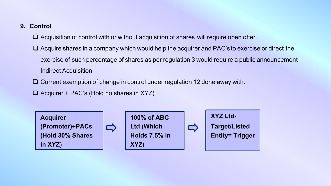#### **9. Control**

- $\Box$  Acquisition of control with or without acquisition of shares will require open offer.
- $\Box$  Acquire shares in a company which would help the acquirer and PAC's to exercise or direct the exercise of such percentage of shares as per regulation 3 would require a public announcement – Indirect Acquisition
- $\Box$  Current exemption of change in control under regulation 12 done away with.
- $\Box$  Acquirer + PAC's (Hold no shares in XYZ)

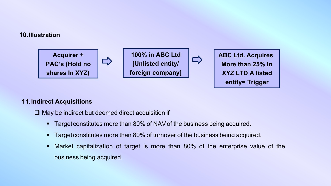#### **10.Illustration**



#### **11.Indirect Acquisitions**

 $\Box$  May be indirect but deemed direct acquisition if

- Target constitutes more than 80% of NAV of the business being acquired.
- Target constitutes more than 80% of turnover of the business being acquired.
- § Market capitalization of target is more than 80% of the enterprise value of the business being acquired.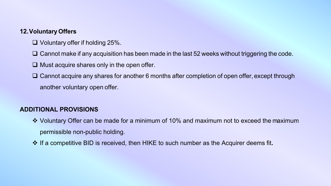#### **12.Voluntary Offers**

- $\Box$  Voluntary offer if holding 25%.
- $\Box$  Cannot make if any acquisition has been made in the last 52 weeks without triggering the code.
- $\Box$  Must acquire shares only in the open offer.
- $\Box$  Cannot acquire any shares for another 6 months after completion of open offer, except through another voluntary open offer.

#### **ADDITIONAL PROVISIONS**

- v Voluntary Offer can be made for a minimum of 10% and maximum not to exceed the maximum permissible non-public holding.
- $\cdot$  If a competitive BID is received, then HIKE to such number as the Acquirer deems fit.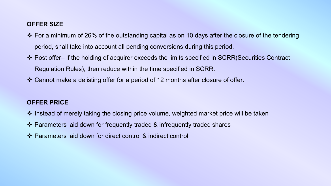#### **OFFER SIZE**

- $\cdot$  For a minimum of 26% of the outstanding capital as on 10 days after the closure of the tendering period, shall take into account all pending conversions during this period.
- \* Post offer– If the holding of acquirer exceeds the limits specified in SCRR(Securities Contract Regulation Rules), then reduce within the time specified in SCRR.
- $\cdot$  Cannot make a delisting offer for a period of 12 months after closure of offer.

#### **OFFER PRICE**

- ❖ Instead of merely taking the closing price volume, weighted market price will be taken
- $\cdot$  Parameters laid down for frequently traded & infrequently traded shares
- v Parameters laid down for direct control & indirect control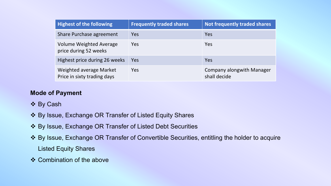| <b>Highest of the following</b>                         | <b>Frequently traded shares</b> | <b>Not frequently traded shares</b>              |
|---------------------------------------------------------|---------------------------------|--------------------------------------------------|
| Share Purchase agreement                                | Yes                             | Yes                                              |
| <b>Volume Weighted Average</b><br>price during 52 weeks | Yes                             | Yes                                              |
| Highest price during 26 weeks                           | Yes                             | Yes                                              |
| Weighted average Market<br>Price in sixty trading days  | Yes                             | <b>Company alongwith Manager</b><br>shall decide |

#### **Mode of Payment**

- v By Cash
- v By Issue, Exchange OR Transfer of Listed Equity Shares
- v By Issue, Exchange OR Transfer of Listed Debt Securities
- v By Issue, Exchange OR Transfer of Convertible Securities, entitling the holder to acquire Listed Equity Shares
- $\div$  Combination of the above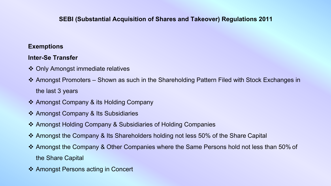#### **SEBI (Substantial Acquisition of Shares and Takeover) Regulations 2011**

#### **Exemptions**

#### **Inter-Se Transfer**

- ❖ Only Amongst immediate relatives
- ◆ Amongst Promoters Shown as such in the Shareholding Pattern Filed with Stock Exchanges in the last 3 years
- ❖ Amongst Company & its Holding Company
- ❖ Amongst Company & Its Subsidiaries
- ❖ Amongst Holding Company & Subsidiaries of Holding Companies
- v Amongst the Company & Its Shareholders holding not less 50% of the Share Capital
- v Amongst the Company & Other Companies where the Same Persons hold not less than 50% of the Share Capital
- ❖ Amongst Persons acting in Concert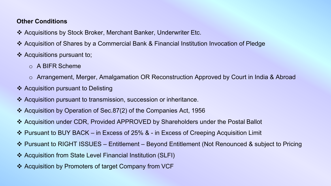#### **Other Conditions**

- v Acquisitions by Stock Broker, Merchant Banker, Underwriter Etc.
- v Acquisition of Shares by a Commercial Bank & Financial Institution Invocation of Pledge
- $\triangleleft$  Acquisitions pursuant to;
	- o A BIFR Scheme
	- o Arrangement, Merger, Amalgamation OR Reconstruction Approved by Court in India & Abroad
- $\triangleleft$  Acquisition pursuant to Delisting
- v Acquisition pursuant to transmission, succession or inheritance.
- v Acquisition by Operation of Sec.87(2) of the Companies Act, 1956
- v Acquisition under CDR, Provided APPROVED by Shareholders under the Postal Ballot
- v Pursuant to BUY BACK in Excess of 25% & in Excess of Creeping Acquisition Limit
- v Pursuant to RIGHT ISSUES Entitlement Beyond Entitlement (Not Renounced & subject to Pricing
- v Acquisition from State Level Financial Institution (SLFI)
- ❖ Acquisition by Promoters of target Company from VCF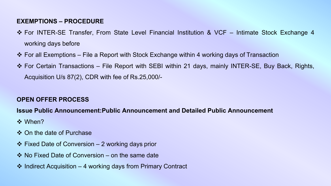#### **EXEMPTIONS – PROCEDURE**

- v For INTER-SE Transfer, From State Level Financial Institution & VCF Intimate Stock Exchange 4 working days before
- $\cdot$  For all Exemptions File a Report with Stock Exchange within 4 working days of Transaction
- $\cdot$  For Certain Transactions File Report with SEBI within 21 days, mainly INTER-SE, Buy Back, Rights, Acquisition U/s 87(2), CDR with fee of Rs.25,000/-

#### **OPEN OFFER PROCESS**

#### **Issue Public Announcement:Public Announcement and Detailed Public Announcement**

- **☆ When?**
- ❖ On the date of Purchase
- $\div$  Fixed Date of Conversion 2 working days prior
- $\cdot$  No Fixed Date of Conversion on the same date
- $\cdot$  Indirect Acquisition 4 working days from Primary Contract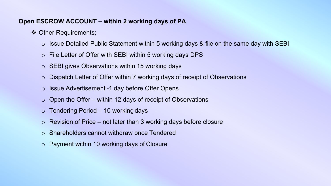#### **Open ESCROW ACCOUNT – within 2 working days of PA**

- ❖ Other Requirements;
	- $\circ$  Issue Detailed Public Statement within 5 working days & file on the same day with SEBI
	- o File Letter of Offer with SEBI within 5 working days DPS
	- o SEBI gives Observations within 15 working days
	- o Dispatch Letter of Offer within 7 working days of receipt of Observations
	- o Issue Advertisement -1 day before Offer Opens
	- $\circ$  Open the Offer within 12 days of receipt of Observations
	- $\circ$  Tendering Period 10 working days
	- $\circ$  Revision of Price not later than 3 working days before closure
	- o Shareholders cannot withdraw once Tendered
	- o Payment within 10 working days of Closure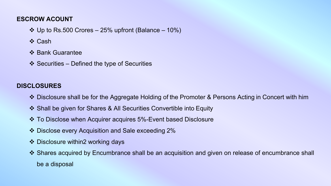#### **ESCROW ACOUNT**

- $\div$  Up to Rs.500 Crores 25% upfront (Balance 10%)
- **V** Cash
- ❖ Bank Guarantee
- $\div$  Securities Defined the type of Securities

#### **DISCLOSURES**

- ◆ Disclosure shall be for the Aggregate Holding of the Promoter & Persons Acting in Concert with him
- v Shall be given for Shares & All Securities Convertible into Equity
- v To Disclose when Acquirer acquires 5%-Event based Disclosure
- v Disclose every Acquisition and Sale exceeding 2%
- $\div$  Disclosure within2 working days
- v Shares acquired by Encumbrance shall be an acquisition and given on release of encumbrance shall be a disposal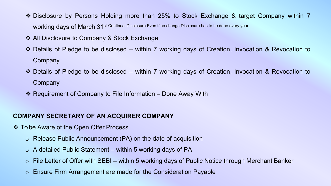- ◆ Disclosure by Persons Holding more than 25% to Stock Exchange & target Company within 7 working days of March 31st-Continual Disclosure.Even if no change.Disclosure has to be done every year.
- ❖ All Disclosure to Company & Stock Exchange
- v Details of Pledge to be disclosed within 7 working days of Creation, Invocation & Revocation to Company
- ◆ Details of Pledge to be disclosed within 7 working days of Creation, Invocation & Revocation to **Company**
- $\cdot$  Requirement of Company to File Information Done Away With

#### **COMPANY SECRETARY OF AN ACQUIRER COMPANY**

- ❖ To be Aware of the Open Offer Process
	- o Release Public Announcement (PA) on the date of acquisition
	- $\circ$  A detailed Public Statement within 5 working days of PA
	- $\circ$  File Letter of Offer with SEBI within 5 working days of Public Notice through Merchant Banker
	- o Ensure Firm Arrangement are made for the Consideration Payable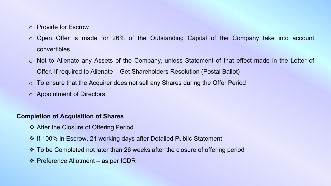- o Provide for Escrow
- o Open Offer is made for 26% of the Outstanding Capital of the Company take into account convertibles.
- o Not to Alienate any Assets of the Company, unless Statement of that effect made in the Letter of Offer. If required to Alienate – Get Shareholders Resolution (Postal Ballot)
- o To ensure that the Acquirer does not sell any Shares during the Offer Period
- o Appointment of Directors

#### **Completion of Acquisition of Shares**

- ❖ After the Closure of Offering Period
- ❖ If 100% in Escrow, 21 working days after Detailed Public Statement
- v To be Completed not later than 26 weeks after the closure of offering period
- $\div$  Preference Allotment as per ICDR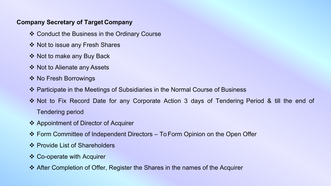#### **Company Secretary of Target Company**

- ❖ Conduct the Business in the Ordinary Course
- ❖ Not to issue any Fresh Shares
- ❖ Not to make any Buy Back
- ❖ Not to Alienate any Assets
- ❖ No Fresh Borrowings
- v Participate in the Meetings of Subsidiaries in the Normal Course of Business
- v Not to Fix Record Date for any Corporate Action 3 days of Tendering Period & till the end of Tendering period
- ❖ Appointment of Director of Acquirer
- v Form Committee of Independent Directors To Form Opinion on the Open Offer
- ❖ Provide List of Shareholders
- $\div$  Co-operate with Acquirer
- v After Completion of Offer, Register the Shares in the names of the Acquirer